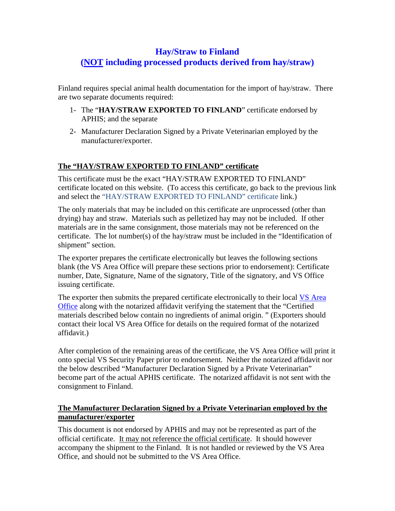## **Hay/Straw to Finland (NOT including processed products derived from hay/straw)**

Finland requires special animal health documentation for the import of hay/straw. There are two separate documents required:

- 1- The "**HAY/STRAW EXPORTED TO FINLAND**" certificate endorsed by APHIS; and the separate
- 2- Manufacturer Declaration Signed by a Private Veterinarian employed by the manufacturer/exporter.

## **The "HAY/STRAW EXPORTED TO FINLAND" certificate**

This certificate must be the exact "HAY/STRAW EXPORTED TO FINLAND" certificate located on this website. (To access this certificate, go back to the previous link and select the "HAY/STRAW EXPORTED TO FINLAND" certificate link.)

The only materials that may be included on this certificate are unprocessed (other than drying) hay and straw. Materials such as pelletized hay may not be included. If other materials are in the same consignment, those materials may not be referenced on the certificate. The lot number(s) of the hay/straw must be included in the "Identification of shipment" section.

The exporter prepares the certificate electronically but leaves the following sections blank (the VS Area Office will prepare these sections prior to endorsement): Certificate number, Date, Signature, Name of the signatory, Title of the signatory, and VS Office issuing certificate.

The exporter then submits the prepared certificate electronically to their local [VS Area](http://www.aphis.usda.gov/animal_health/area_offices/)  [Office](http://www.aphis.usda.gov/animal_health/area_offices/) along with the notarized affidavit verifying the statement that the "Certified materials described below contain no ingredients of animal origin. " (Exporters should contact their local [VS Area Office](http://www.aphis.usda.gov/animal_health/area_offices/) for details on the required format of the notarized affidavit.)

After completion of the remaining areas of the certificate, the VS Area Office will print it onto special VS Security Paper prior to endorsement. Neither the notarized affidavit nor the below described "Manufacturer Declaration Signed by a Private Veterinarian" become part of the actual APHIS certificate. The notarized affidavit is not sent with the consignment to Finland.

## **The Manufacturer Declaration Signed by a Private Veterinarian employed by the manufacturer/exporter**

This document is not endorsed by APHIS and may not be represented as part of the official certificate. It may not reference the official certificate. It should however accompany the shipment to the Finland. It is not handled or reviewed by the VS Area Office, and should not be submitted to the VS Area Office.